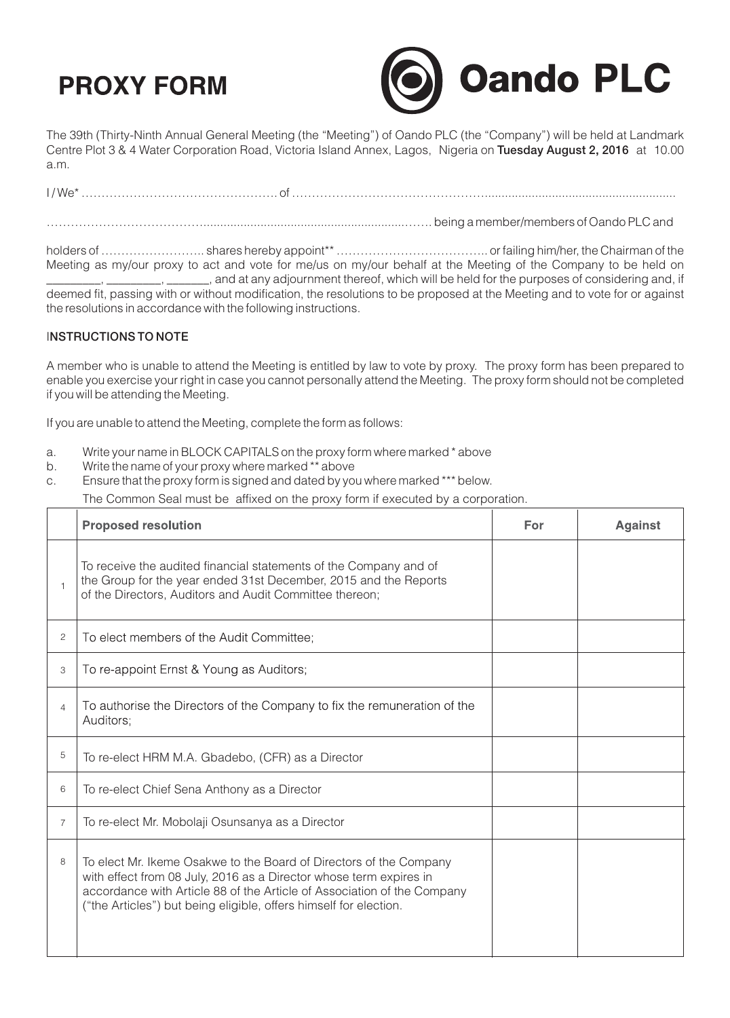## **PROXY FORM**



The 39th (Thirty-Ninth Annual General Meeting (the "Meeting") of Oando PLC (the "Company") will be held at Landmark Centre Plot 3 & 4 Water Corporation Road, Victoria Island Annex, Lagos, Nigeria on Tuesday August 2, 2016 at 10.00 a.m.

I / We\* …………………………………………. of …………………………………………......................................................... …………………………………............................................................……. being a member/members of Oando PLC and

holders of …………………….. shares hereby appoint\*\* ……………………………….. or failing him/her, the Chairman of the Meeting as my/our proxy to act and vote for me/us on my/our behalf at the Meeting of the Company to be held on \_\_\_, \_\_\_\_\_\_\_\_\_, \_\_\_\_\_\_\_, and at any adjournment thereof, which will be held for the purposes of considering and, if deemed fit, passing with or without modification, the resolutions to be proposed at the Meeting and to vote for or against the resolutions in accordance with the following instructions.

## INSTRUCTIONS TO NOTE

A member who is unable to attend the Meeting is entitled by law to vote by proxy. The proxy form has been prepared to enable you exercise your right in case you cannot personally attend the Meeting. The proxy form should not be completed if you will be attending the Meeting.

If you are unable to attend the Meeting, complete the form as follows:

- a. Write your name in BLOCK CAPITALS on the proxy form where marked \* above
- b. Write the name of your proxy where marked \*\* above
- c. Ensure that the proxy form is signed and dated by you where marked \*\*\* below.

The Common Seal must be affixed on the proxy form if executed by a corporation.

|                | <b>Proposed resolution</b>                                                                                                                                                                                                                                                               | For | <b>Against</b> |
|----------------|------------------------------------------------------------------------------------------------------------------------------------------------------------------------------------------------------------------------------------------------------------------------------------------|-----|----------------|
|                | To receive the audited financial statements of the Company and of<br>the Group for the year ended 31st December, 2015 and the Reports<br>of the Directors, Auditors and Audit Committee thereon;                                                                                         |     |                |
| 2              | To elect members of the Audit Committee;                                                                                                                                                                                                                                                 |     |                |
| 3              | To re-appoint Ernst & Young as Auditors;                                                                                                                                                                                                                                                 |     |                |
| 4              | To authorise the Directors of the Company to fix the remuneration of the<br>Auditors;                                                                                                                                                                                                    |     |                |
| 5              | To re-elect HRM M.A. Gbadebo, (CFR) as a Director                                                                                                                                                                                                                                        |     |                |
| 6              | To re-elect Chief Sena Anthony as a Director                                                                                                                                                                                                                                             |     |                |
| $\overline{7}$ | To re-elect Mr. Mobolaji Osunsanya as a Director                                                                                                                                                                                                                                         |     |                |
| 8              | To elect Mr. Ikeme Osakwe to the Board of Directors of the Company<br>with effect from 08 July, 2016 as a Director whose term expires in<br>accordance with Article 88 of the Article of Association of the Company<br>("the Articles") but being eligible, offers himself for election. |     |                |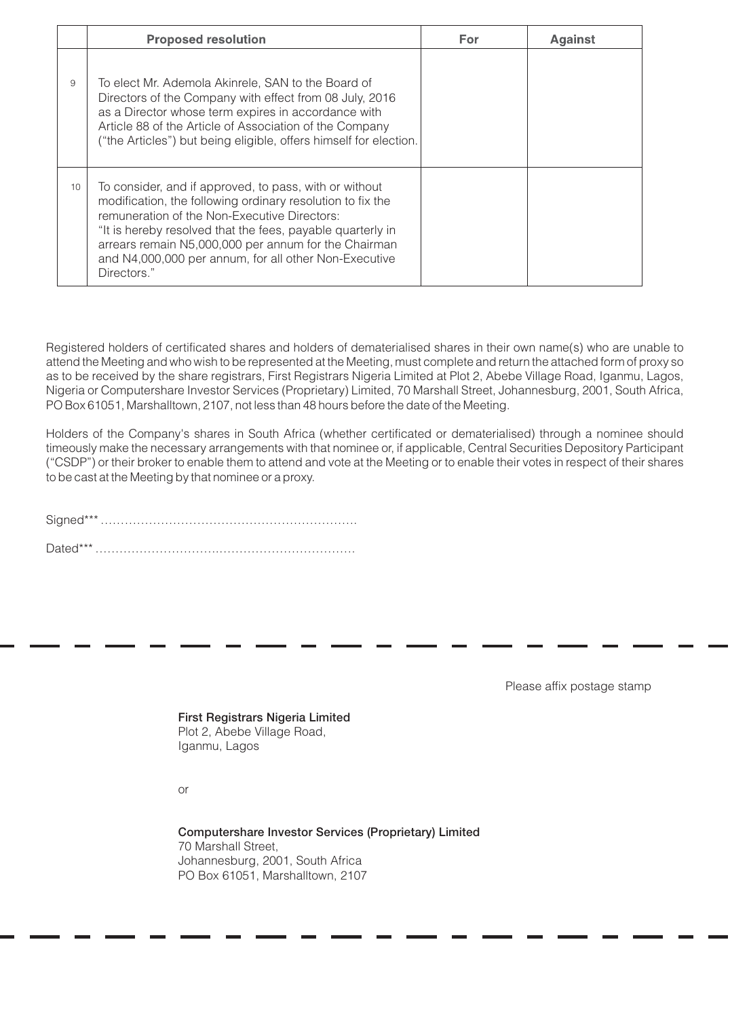|    | <b>Proposed resolution</b>                                                                                                                                                                                                                                                                                                                                         | For | <b>Against</b> |
|----|--------------------------------------------------------------------------------------------------------------------------------------------------------------------------------------------------------------------------------------------------------------------------------------------------------------------------------------------------------------------|-----|----------------|
| 9  | To elect Mr. Ademola Akinrele, SAN to the Board of<br>Directors of the Company with effect from 08 July, 2016<br>as a Director whose term expires in accordance with<br>Article 88 of the Article of Association of the Company<br>("the Articles") but being eligible, offers himself for election.                                                               |     |                |
| 10 | To consider, and if approved, to pass, with or without<br>modification, the following ordinary resolution to fix the<br>remuneration of the Non-Executive Directors:<br>"It is hereby resolved that the fees, payable quarterly in<br>arrears remain N5,000,000 per annum for the Chairman<br>and N4,000,000 per annum, for all other Non-Executive<br>Directors." |     |                |

Registered holders of certificated shares and holders of dematerialised shares in their own name(s) who are unable to attend the Meeting and who wish to be represented at the Meeting, must complete and return the attached form of proxy so as to be received by the share registrars, First Registrars Nigeria Limited at Plot 2, Abebe Village Road, Iganmu, Lagos, Nigeria or Computershare Investor Services (Proprietary) Limited, 70 Marshall Street, Johannesburg, 2001, South Africa, PO Box 61051, Marshalltown, 2107, not less than 48 hours before the date of the Meeting.

Holders of the Company's shares in South Africa (whether certificated or dematerialised) through a nominee should timeously make the necessary arrangements with that nominee or, if applicable, Central Securities Depository Participant ("CSDP") or their broker to enable them to attend and vote at the Meeting or to enable their votes in respect of their shares to be cast at the Meeting by that nominee or a proxy.

Signed\*\*\* ………………………………………………………. Dated\*\*\* ………………………….…………………………….

Please affix postage stamp

First Registrars Nigeria Limited Plot 2, Abebe Village Road, Iganmu, Lagos

or

Computershare Investor Services (Proprietary) Limited 70 Marshall Street, Johannesburg, 2001, South Africa PO Box 61051, Marshalltown, 2107